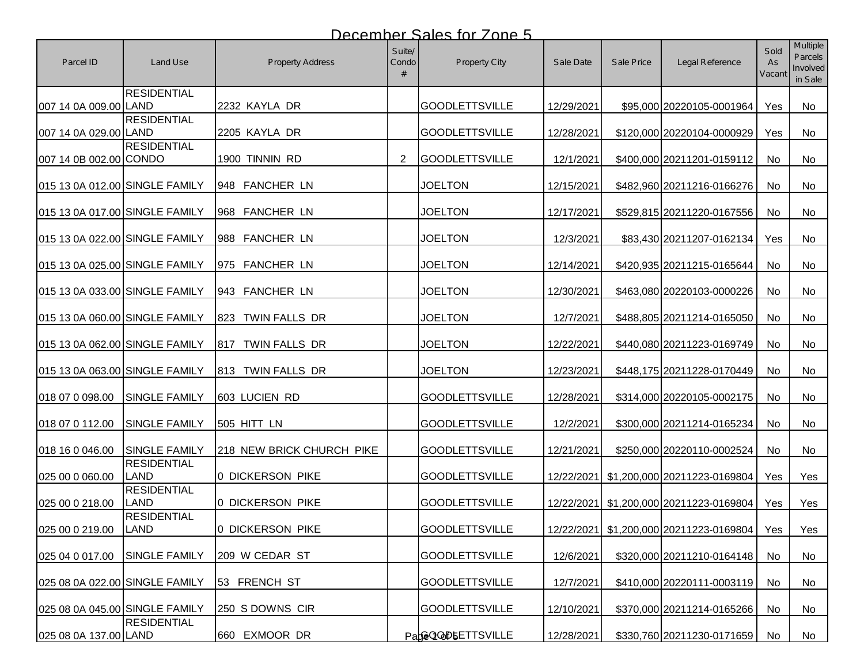| Parcel ID                      | Land Use                          | Property Address          | Suite/<br>Condo | <b>Property City</b>  | Sale Date  | Sale Price | Legal Reference                               | Sold<br>As<br>Vacant | <b>Multiple</b><br>Parcels<br>Involved<br>in Sale |
|--------------------------------|-----------------------------------|---------------------------|-----------------|-----------------------|------------|------------|-----------------------------------------------|----------------------|---------------------------------------------------|
| 007 14 0A 009.00 LAND          | <b>RESIDENTIAL</b>                | 2232 KAYLA DR             |                 | <b>GOODLETTSVILLE</b> | 12/29/2021 |            | \$95,000 20220105-0001964                     | Yes                  | No                                                |
| 007 14 0A 029.00 LAND          | <b>RESIDENTIAL</b>                | 2205 KAYLA DR             |                 | <b>GOODLETTSVILLE</b> | 12/28/2021 |            | \$120,000 20220104-0000929                    | Yes                  | No                                                |
| 007 14 0B 002.00 CONDO         | <b>RESIDENTIAL</b>                | 1900 TINNIN RD            | $\overline{2}$  | <b>GOODLETTSVILLE</b> | 12/1/2021  |            | \$400,000 20211201-0159112                    | No                   | No                                                |
| 015 13 0A 012.00 SINGLE FAMILY |                                   | 948 FANCHER LN            |                 | <b>JOELTON</b>        | 12/15/2021 |            | \$482,960 20211216-0166276                    | No                   | No                                                |
| 015 13 0A 017.00 SINGLE FAMILY |                                   | 968 FANCHER LN            |                 | <b>JOELTON</b>        | 12/17/2021 |            | \$529,815 20211220-0167556                    | No                   | No                                                |
| 015 13 0A 022.00 SINGLE FAMILY |                                   | 988 FANCHER LN            |                 | <b>JOELTON</b>        | 12/3/2021  |            | \$83,430 20211207-0162134                     | Yes                  | No                                                |
| 015 13 0A 025.00 SINGLE FAMILY |                                   | 975 FANCHER LN            |                 | <b>JOELTON</b>        | 12/14/2021 |            | \$420,935 20211215-0165644                    | No                   | No                                                |
| 015 13 0A 033.00 SINGLE FAMILY |                                   | 943 FANCHER LN            |                 | <b>JOELTON</b>        | 12/30/2021 |            | \$463,080 20220103-0000226                    | No                   | No                                                |
| 015 13 0A 060.00 SINGLE FAMILY |                                   | TWIN FALLS DR<br>823      |                 | <b>JOELTON</b>        | 12/7/2021  |            | \$488,805 20211214-0165050                    | No                   | No                                                |
| 015 13 0A 062.00 SINGLE FAMILY |                                   | TWIN FALLS DR<br>817      |                 | <b>JOELTON</b>        | 12/22/2021 |            | \$440,080 20211223-0169749                    | No                   | No                                                |
| 015 13 0A 063.00 SINGLE FAMILY |                                   | 813 TWIN FALLS DR         |                 | <b>JOELTON</b>        | 12/23/2021 |            | \$448,175 20211228-0170449                    | No                   | <b>No</b>                                         |
| 018 07 0 098.00                | <b>SINGLE FAMILY</b>              | 603 LUCIEN RD             |                 | <b>GOODLETTSVILLE</b> | 12/28/2021 |            | \$314,000 20220105-0002175                    | No                   | No                                                |
| 018 07 0 112.00                | <b>SINGLE FAMILY</b>              | 505 HITT LN               |                 | <b>GOODLETTSVILLE</b> | 12/2/2021  |            | \$300,000 20211214-0165234                    | No                   | No                                                |
| 018 16 0 046.00                | <b>SINGLE FAMILY</b>              | 218 NEW BRICK CHURCH PIKE |                 | <b>GOODLETTSVILLE</b> | 12/21/2021 |            | \$250,000 20220110-0002524                    | No                   | No                                                |
| 025 00 0 060.00                | <b>RESIDENTIAL</b><br><b>LAND</b> | 0 DICKERSON PIKE          |                 | <b>GOODLETTSVILLE</b> |            |            | 12/22/2021 \$1,200,000 20211223-0169804       | Yes                  | Yes                                               |
| 025 00 0 218.00                | <b>RESIDENTIAL</b><br><b>LAND</b> | 0 DICKERSON PIKE          |                 | <b>GOODLETTSVILLE</b> |            |            | 12/22/2021 \$1,200,000 20211223-0169804       | Yes                  | Yes                                               |
| 025 00 0 219.00                | <b>RESIDENTIAL</b><br>LAND        | 0 DICKERSON PIKE          |                 | <b>GOODLETTSVILLE</b> |            |            | 12/22/2021 \$1,200,000 20211223-0169804   Yes |                      | Yes                                               |
| 025 04 0 017.00                | <b>SINGLE FAMILY</b>              | 209 W CEDAR ST            |                 | <b>GOODLETTSVILLE</b> | 12/6/2021  |            | \$320,000 20211210-0164148                    | No                   | No                                                |
| 025 08 0A 022.00 SINGLE FAMILY |                                   | 53 FRENCH ST              |                 | <b>GOODLETTSVILLE</b> | 12/7/2021  |            | \$410,000 20220111-0003119                    | No                   | No                                                |
| 025 08 0A 045.00 SINGLE FAMILY |                                   | 250 S DOWNS CIR           |                 | <b>GOODLETTSVILLE</b> | 12/10/2021 |            | \$370,000 20211214-0165266                    | No                   | No                                                |
| 025 08 0A 137.00 LAND          | <b>RESIDENTIAL</b>                | 660 EXMOOR DR             |                 | PaGGQ@DbETTSVILLE     | 12/28/2021 |            | \$330,760 20211230-0171659                    | No                   | No                                                |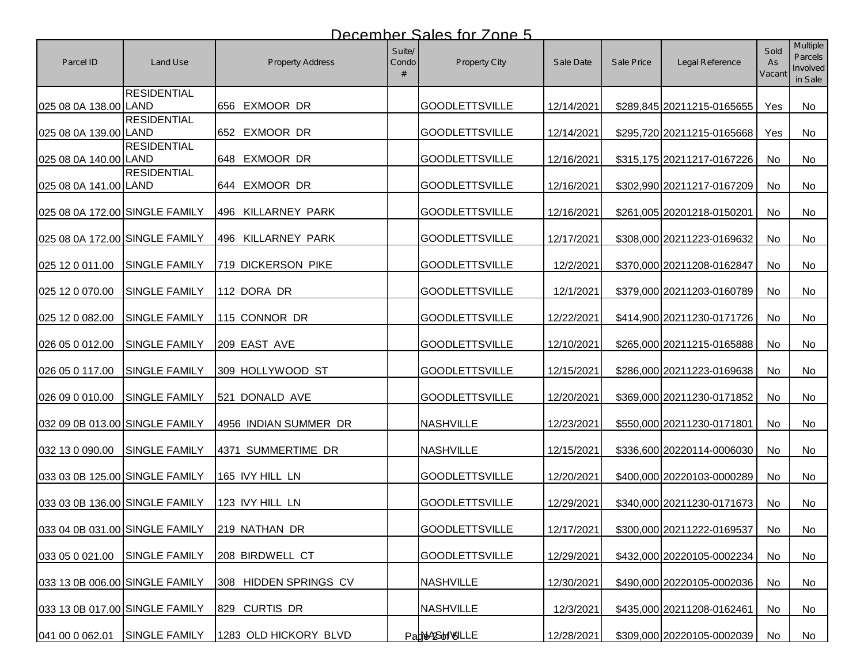| Parcel ID                      | Land Use                       | Property Address      | Suite/<br>Condo | Property City         | Sale Date  | Sale Price | Legal Reference            | Sold<br>As<br>Vacant | <b>Multiple</b><br><b>Parcels</b><br>Involved<br>in Sale |
|--------------------------------|--------------------------------|-----------------------|-----------------|-----------------------|------------|------------|----------------------------|----------------------|----------------------------------------------------------|
| 025 08 0A 138.00 LAND          | <b>RESIDENTIAL</b>             | 656 EXMOOR DR         |                 | <b>GOODLETTSVILLE</b> | 12/14/2021 |            | \$289,845 20211215-0165655 | Yes                  | No                                                       |
| 025 08 0A 139.00 LAND          | <b>RESIDENTIAL</b>             | 652 EXMOOR DR         |                 | <b>GOODLETTSVILLE</b> | 12/14/2021 |            | \$295,720 20211215-0165668 | Yes                  | No                                                       |
| 025 08 0A 140.00 LAND          | <b>RESIDENTIAL</b>             | 648 EXMOOR DR         |                 | <b>GOODLETTSVILLE</b> | 12/16/2021 |            | \$315,175 20211217-0167226 | No                   | No                                                       |
| 025 08 0A 141.00 LAND          | <b>RESIDENTIAL</b>             | 644 EXMOOR DR         |                 | <b>GOODLETTSVILLE</b> | 12/16/2021 |            | \$302,990 20211217-0167209 | No                   | No.                                                      |
| 025 08 0A 172.00 SINGLE FAMILY |                                | 496 KILLARNEY PARK    |                 | <b>GOODLETTSVILLE</b> | 12/16/2021 |            | \$261,005 20201218-0150201 | No                   | No                                                       |
| 025 08 0A 172.00 SINGLE FAMILY |                                | 496 KILLARNEY PARK    |                 | <b>GOODLETTSVILLE</b> | 12/17/2021 |            | \$308,000 20211223-0169632 | No                   | No                                                       |
| 025 12 0 011.00                | <b>SINGLE FAMILY</b>           | 719 DICKERSON PIKE    |                 | <b>GOODLETTSVILLE</b> | 12/2/2021  |            | \$370,000 20211208-0162847 | No                   | No                                                       |
| 025 12 0 070.00                | <b>SINGLE FAMILY</b>           | 112 DORA DR           |                 | <b>GOODLETTSVILLE</b> | 12/1/2021  |            | \$379,000 20211203-0160789 | No                   | No                                                       |
| 025 12 0 082.00                | <b>SINGLE FAMILY</b>           | 115 CONNOR DR         |                 | <b>GOODLETTSVILLE</b> | 12/22/2021 |            | \$414,900 20211230-0171726 | No                   | No                                                       |
| 026 05 0 012.00                | <b>SINGLE FAMILY</b>           | 209 EAST AVE          |                 | <b>GOODLETTSVILLE</b> | 12/10/2021 |            | \$265,000 20211215-0165888 | No                   | No                                                       |
| 026 05 0 117.00                | <b>SINGLE FAMILY</b>           | 309 HOLLYWOOD ST      |                 | <b>GOODLETTSVILLE</b> | 12/15/2021 |            | \$286,000 20211223-0169638 | No                   | No                                                       |
| 026 09 0 010.00                | <b>SINGLE FAMILY</b>           | 521 DONALD AVE        |                 | <b>GOODLETTSVILLE</b> | 12/20/2021 |            | \$369,000 20211230-0171852 | No                   | <b>No</b>                                                |
| 032 09 0B 013.00 SINGLE FAMILY |                                | 4956 INDIAN SUMMER DR |                 | <b>NASHVILLE</b>      | 12/23/2021 |            | \$550,000 20211230-0171801 | No                   | No                                                       |
| 032 13 0 090.00                | <b>SINGLE FAMILY</b>           | 4371 SUMMERTIME DR    |                 | <b>NASHVILLE</b>      | 12/15/2021 |            | \$336,600 20220114-0006030 | No                   | No                                                       |
| 033 03 0B 125.00 SINGLE FAMILY |                                | 165 IVY HILL LN       |                 | <b>GOODLETTSVILLE</b> | 12/20/2021 |            | \$400,000 20220103-0000289 | No                   | No                                                       |
| 033 03 0B 136.00 SINGLE FAMILY |                                | 123 IVY HILL LN       |                 | <b>GOODLETTSVILLE</b> | 12/29/2021 |            | \$340,000 20211230-0171673 | No                   | No                                                       |
|                                | 033 04 0B 031.00 SINGLE FAMILY | 219 NATHAN DR         |                 | <b>GOODLETTSVILLE</b> | 12/17/2021 |            | \$300,000 20211222-0169537 | No                   | No                                                       |
| 033 05 0 021.00                | <b>SINGLE FAMILY</b>           | 208 BIRDWELL CT       |                 | <b>GOODLETTSVILLE</b> | 12/29/2021 |            | \$432,000 20220105-0002234 | No                   | No                                                       |
| 033 13 0B 006.00 SINGLE FAMILY |                                | 308 HIDDEN SPRINGS CV |                 | <b>NASHVILLE</b>      | 12/30/2021 |            | \$490,000 20220105-0002036 | No                   | No                                                       |
| 033 13 0B 017.00 SINGLE FAMILY |                                | 829 CURTIS DR         |                 | <b>NASHVILLE</b>      | 12/3/2021  |            | \$435,000 20211208-0162461 | No                   | No                                                       |
| 041 00 0 062.01                | <b>SINGLE FAMILY</b>           | 1283 OLD HICKORY BLVD |                 | PadNASHVULLE          | 12/28/2021 |            | \$309,000 20220105-0002039 | No                   | No                                                       |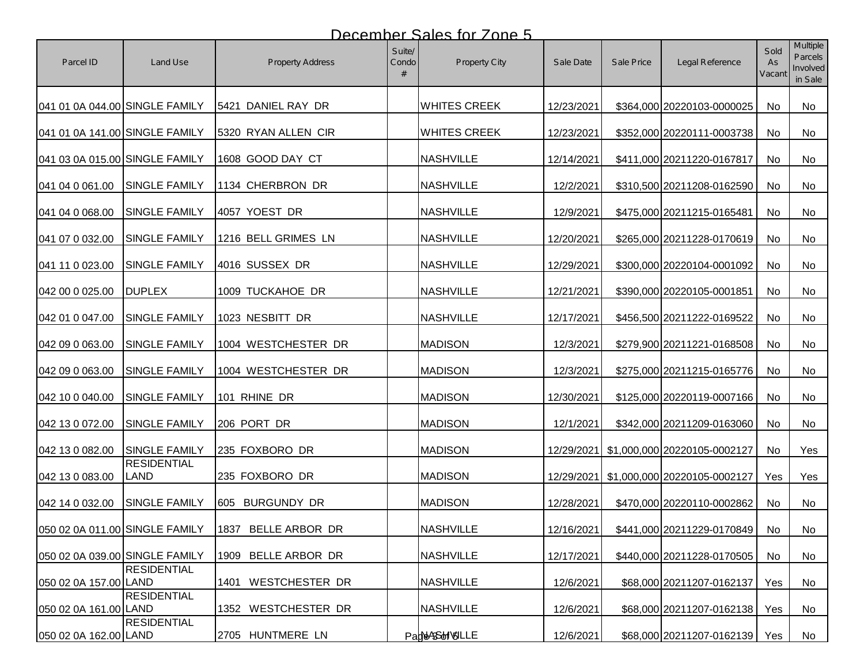| Parcel ID                      | Land Use                       | <b>Property Address</b> | Suite/<br>Condo<br># | <b>Property City</b> | Sale Date  | Sale Price | Legal Reference                         | Sold<br>As<br>Vacant | <b>Multiple</b><br>Parcels<br>Involved<br>in Sale |
|--------------------------------|--------------------------------|-------------------------|----------------------|----------------------|------------|------------|-----------------------------------------|----------------------|---------------------------------------------------|
| 041 01 0A 044.00 SINGLE FAMILY |                                | 5421 DANIEL RAY DR      |                      | <b>WHITES CREEK</b>  | 12/23/2021 |            | \$364,000 20220103-0000025              | No                   | No                                                |
| 041 01 0A 141.00 SINGLE FAMILY |                                | 5320 RYAN ALLEN CIR     |                      | <b>WHITES CREEK</b>  | 12/23/2021 |            | \$352,000 20220111-0003738              | No                   | No.                                               |
| 041 03 0A 015.00 SINGLE FAMILY |                                | 1608 GOOD DAY CT        |                      | <b>NASHVILLE</b>     | 12/14/2021 |            | \$411,000 20211220-0167817              | No                   | No                                                |
| 041 04 0 061.00                | <b>SINGLE FAMILY</b>           | 1134 CHERBRON DR        |                      | <b>NASHVILLE</b>     | 12/2/2021  |            | \$310,500 20211208-0162590              | No                   | No                                                |
| 041 04 0 068.00                | <b>SINGLE FAMILY</b>           | 4057 YOEST DR           |                      | <b>NASHVILLE</b>     | 12/9/2021  |            | \$475,000 20211215-0165481              | No                   | No                                                |
| 041 07 0 032.00                | <b>SINGLE FAMILY</b>           | 1216 BELL GRIMES LN     |                      | <b>NASHVILLE</b>     | 12/20/2021 |            | \$265,000 20211228-0170619              | No                   | No                                                |
| 041 11 0 023.00                | <b>SINGLE FAMILY</b>           | 4016 SUSSEX DR          |                      | <b>NASHVILLE</b>     | 12/29/2021 |            | \$300,000 20220104-0001092              | No                   | No                                                |
| 042 00 0 025.00                | <b>DUPLEX</b>                  | 1009 TUCKAHOE DR        |                      | <b>NASHVILLE</b>     | 12/21/2021 |            | \$390,000 20220105-0001851              | No                   | No                                                |
| 042 01 0 047.00                | <b>SINGLE FAMILY</b>           | 1023 NESBITT DR         |                      | <b>NASHVILLE</b>     | 12/17/2021 |            | \$456,500 20211222-0169522              | No                   | <b>No</b>                                         |
| 042 09 0 063.00                | <b>SINGLE FAMILY</b>           | 1004 WESTCHESTER DR     |                      | <b>MADISON</b>       | 12/3/2021  |            | \$279,900 20211221-0168508              | No                   | No                                                |
| 042 09 0 063.00                | SINGLE FAMILY                  | 1004 WESTCHESTER DR     |                      | <b>MADISON</b>       | 12/3/2021  |            | \$275,000 20211215-0165776              | No                   | No                                                |
| 042 10 0 040.00                | <b>SINGLE FAMILY</b>           | 101 RHINE DR            |                      | <b>MADISON</b>       | 12/30/2021 |            | \$125,000 20220119-0007166              | <b>No</b>            | No.                                               |
| 042 13 0 072.00                | SINGLE FAMILY                  | 206 PORT DR             |                      | <b>MADISON</b>       | 12/1/2021  |            | \$342,000 20211209-0163060              | <b>No</b>            | No                                                |
| 042 13 0 082.00                | <b>SINGLE FAMILY</b>           | 235 FOXBORO DR          |                      | <b>MADISON</b>       |            |            | 12/29/2021 \$1,000,000 20220105-0002127 | No                   | Yes                                               |
| 042 13 0 083.00                | <b>RESIDENTIAL</b><br>LAND     | 235 FOXBORO DR          |                      | <b>MADISON</b>       | 12/29/2021 |            | \$1,000,000 20220105-0002127            | Yes                  | Yes                                               |
| 042 14 0 032.00                | <b>SINGLE FAMILY</b>           | 605 BURGUNDY DR         |                      | <b>MADISON</b>       | 12/28/2021 |            | \$470,000 20220110-0002862              | No                   | No                                                |
|                                | 050 02 0A 011.00 SINGLE FAMILY | 1837 BELLE ARBOR DR     |                      | <b>NASHVILLE</b>     | 12/16/2021 |            | \$441,000 20211229-0170849              | No                   | No                                                |
| 050 02 0A 039.00 SINGLE FAMILY |                                | 1909 BELLE ARBOR DR     |                      | <b>NASHVILLE</b>     | 12/17/2021 |            | \$440,000 20211228-0170505              | No                   | No                                                |
| 050 02 0A 157.00 LAND          | <b>RESIDENTIAL</b>             | WESTCHESTER DR<br>1401  |                      | <b>NASHVILLE</b>     | 12/6/2021  |            | \$68,000 20211207-0162137               | Yes                  | No                                                |
| 050 02 0A 161.00 LAND          | <b>RESIDENTIAL</b>             | 1352 WESTCHESTER DR     |                      | <b>NASHVILLE</b>     | 12/6/2021  |            | \$68,000 20211207-0162138               | Yes                  | No                                                |
| 050 02 0A 162.00 LAND          | <b>RESIDENTIAL</b>             | 2705 HUNTMERE LN        |                      | ParNASSHIVSILLE      | 12/6/2021  |            | \$68,000 20211207-0162139               | Yes                  | No                                                |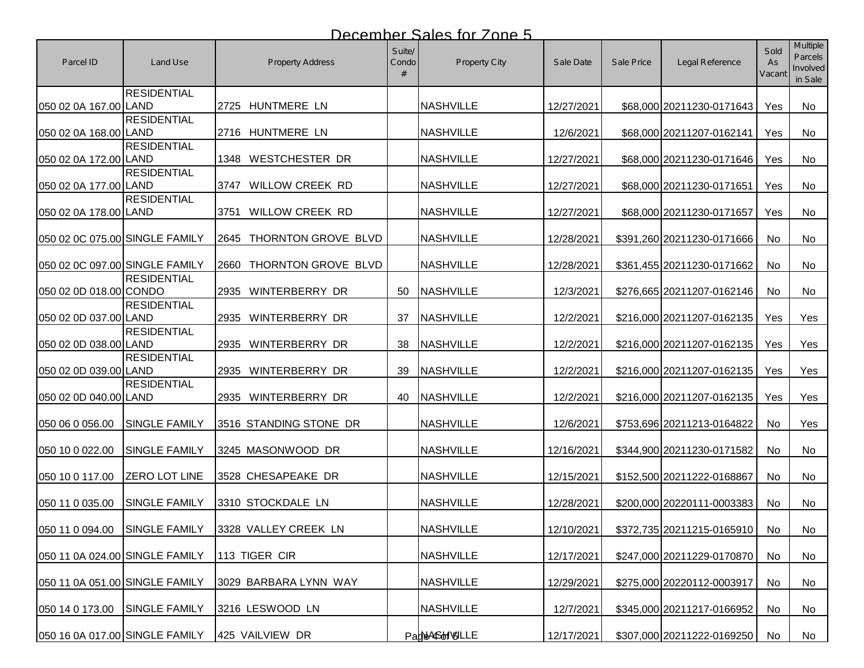| Parcel ID                      | Land Use             | Property Address         | Suite/<br>Condo | Property City    | Sale Date  | Sale Price | Legal Reference            | Sold<br>As<br>Vacant | <b>Multiple</b><br>Parcels<br>Involved<br>in Sale |
|--------------------------------|----------------------|--------------------------|-----------------|------------------|------------|------------|----------------------------|----------------------|---------------------------------------------------|
| 050 02 0A 167.00 LAND          | <b>RESIDENTIAL</b>   | 2725 HUNTMERE LN         |                 | <b>NASHVILLE</b> | 12/27/2021 |            | \$68,000 20211230-0171643  | Yes                  | No                                                |
| 050 02 0A 168.00 LAND          | <b>RESIDENTIAL</b>   | 2716 HUNTMERE LN         |                 | <b>NASHVILLE</b> | 12/6/2021  |            | \$68,000 20211207-0162141  | Yes                  | No                                                |
| 050 02 0A 172.00 LAND          | <b>RESIDENTIAL</b>   | 1348 WESTCHESTER DR      |                 | <b>NASHVILLE</b> | 12/27/2021 |            | \$68,000 20211230-0171646  | Yes                  | No                                                |
| 050 02 0A 177.00 LAND          | <b>RESIDENTIAL</b>   | 3747 WILLOW CREEK RD     |                 | <b>NASHVILLE</b> | 12/27/2021 |            | \$68,000 20211230-0171651  | Yes                  | No                                                |
| 050 02 0A 178.00 LAND          | <b>RESIDENTIAL</b>   | WILLOW CREEK RD<br>3751  |                 | <b>NASHVILLE</b> | 12/27/2021 |            | \$68,000 20211230-0171657  | Yes                  | No                                                |
| 050 02 0C 075.00 SINGLE FAMILY |                      | 2645 THORNTON GROVE BLVD |                 | <b>NASHVILLE</b> | 12/28/2021 |            | \$391,260 20211230-0171666 | No                   | No                                                |
| 050 02 0C 097.00 SINGLE FAMILY |                      | 2660 THORNTON GROVE BLVD |                 | <b>NASHVILLE</b> | 12/28/2021 |            | \$361,455 20211230-0171662 | No                   | No                                                |
| 050 02 0D 018.00 CONDO         | <b>RESIDENTIAL</b>   | 2935 WINTERBERRY DR      | 50              | <b>NASHVILLE</b> | 12/3/2021  |            | \$276,665 20211207-0162146 | No                   | No                                                |
| 050 02 0D 037.00 LAND          | <b>RESIDENTIAL</b>   | 2935 WINTERBERRY DR      | 37              | <b>NASHVILLE</b> | 12/2/2021  |            | \$216,000 20211207-0162135 | Yes                  | Yes                                               |
| 050 02 0D 038.00 LAND          | <b>RESIDENTIAL</b>   | 2935 WINTERBERRY DR      | 38              | <b>NASHVILLE</b> | 12/2/2021  |            | \$216,000 20211207-0162135 | Yes                  | Yes                                               |
| 050 02 0D 039.00 LAND          | <b>RESIDENTIAL</b>   | 2935 WINTERBERRY DR      | 39              | <b>NASHVILLE</b> | 12/2/2021  |            | \$216,000 20211207-0162135 | Yes                  | Yes                                               |
| 050 02 0D 040.00 LAND          | <b>RESIDENTIAL</b>   | 2935 WINTERBERRY DR      | 40              | <b>NASHVILLE</b> | 12/2/2021  |            | \$216,000 20211207-0162135 | Yes                  | Yes                                               |
| 050 06 0 056.00                | <b>SINGLE FAMILY</b> | 3516 STANDING STONE DR   |                 | <b>NASHVILLE</b> | 12/6/2021  |            | \$753,696 20211213-0164822 | No                   | Yes                                               |
| 050 10 0 022.00                | <b>SINGLE FAMILY</b> | 3245 MASONWOOD DR        |                 | <b>NASHVILLE</b> | 12/16/2021 |            | \$344,900 20211230-0171582 | No                   | No                                                |
| 050 10 0 117.00                | <b>ZERO LOT LINE</b> | 3528 CHESAPEAKE DR       |                 | <b>NASHVILLE</b> | 12/15/2021 |            | \$152,500 20211222-0168867 | <b>No</b>            | No                                                |
| 050 11 0 035.00                | <b>SINGLE FAMILY</b> | 3310 STOCKDALE LN        |                 | <b>NASHVILLE</b> | 12/28/2021 |            | \$200,000 20220111-0003383 | <b>No</b>            | No                                                |
| 050 11 0 094.00 SINGLE FAMILY  |                      | 3328 VALLEY CREEK LN     |                 | <b>NASHVILLE</b> | 12/10/2021 |            | \$372,735 20211215-0165910 | No                   | No                                                |
| 050 11 0A 024.00 SINGLE FAMILY |                      | 113 TIGER CIR            |                 | <b>NASHVILLE</b> | 12/17/2021 |            | \$247,000 20211229-0170870 | No                   | No                                                |
| 050 11 0A 051.00 SINGLE FAMILY |                      | 3029 BARBARA LYNN WAY    |                 | <b>NASHVILLE</b> | 12/29/2021 |            | \$275,000 20220112-0003917 | No                   | No                                                |
| 050 14 0 173.00                | <b>SINGLE FAMILY</b> | 3216 LESWOOD LN          |                 | <b>NASHVILLE</b> | 12/7/2021  |            | \$345,000 20211217-0166952 | No                   | No                                                |
| 050 16 0A 017.00 SINGLE FAMILY |                      | 425 VAILVIEW DR          |                 | PadNASHVOLLE     | 12/17/2021 |            | \$307,000 20211222-0169250 | No                   | No                                                |